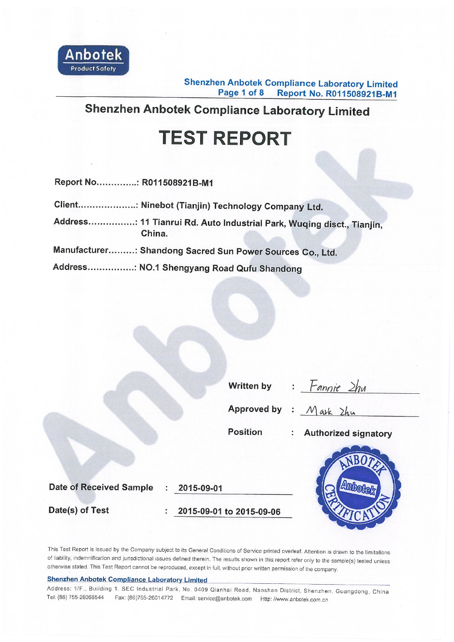

**Shenzhen Anbotek Compliance Laboratory Limited** Page 1 of 8 Report No. R011508921B-M1

# **Shenzhen Anbotek Compliance Laboratory Limited**

# **TEST REPORT**

Report No..............: R011508921B-M1

| Client: Ninebot (Tianjin) Technology Company Ltd.          |
|------------------------------------------------------------|
| Address; 11 Tianrui Rd. Auto Industrial Park, Wuging disct |

- o Industrial Park, Wuqing disct., Tianjin, China.
- Manufacturer.........: Shandong Sacred Sun Power Sources Co., Ltd.

Address................: NO.1 Shengyang Road Qufu Shandong

| Written by | $=$ Fannie $2hu$ |  |
|------------|------------------|--|
|            |                  |  |

Approved by : Mark Zhu

**Position** 

: Authorized signatory

Date of Received Sample : 2015-09-01

Date(s) of Test

: 2015-09-01 to 2015-09-06



This Test Report is issued by the Company subject to its General Conditions of Service printed overleaf. Attention is drawn to the limitations of liability, indemnification and jurisdictional issues defined therein. The results shown in this report refer only to the sample(s) tested unless otherwise stated. This Test Report cannot be reproduced, except in full, without prior written permission of the company.

#### **Shenzhen Anbotek Compliance Laboratory Limited**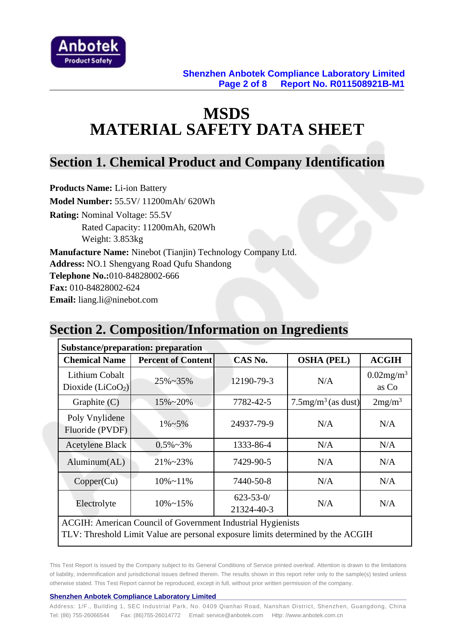

# **MSDS MATERIAL SAFETY DATA SHEET**

### **Section 1. Chemical Product and Company Identification**

**Products Name:** Li-ion Battery **Model Number:** 55.5V/ 11200mAh/ 620Wh **Rating:** Nominal Voltage: 55.5V Rated Capacity: 11200mAh, 620Wh Weight: 3.853kg **Manufacture Name:** Ninebot (Tianjin) Technology Company Ltd. **Address:** NO.1 Shengyang Road Qufu Shandong **Telephone No.:**010-84828002-666 **Fax:** 010-84828002-624 **Email:** liang.li@ninebot.com

### **Section 2. Composition/Information on Ingredients**

| <b>Substance/preparation: preparation</b>                                       |                           |                               |                                   |                                   |  |  |
|---------------------------------------------------------------------------------|---------------------------|-------------------------------|-----------------------------------|-----------------------------------|--|--|
| <b>Chemical Name</b>                                                            | <b>Percent of Content</b> | CAS No.                       | <b>OSHA (PEL)</b>                 | <b>ACGIH</b>                      |  |  |
| Lithium Cobalt<br>Dioxide $(LiCoO2)$                                            | $25\% - 35\%$             | 12190-79-3                    | N/A                               | $0.02$ mg/m <sup>3</sup><br>as Co |  |  |
| Graphite $(C)$                                                                  | $15\% - 20\%$             | 7782-42-5                     | $7.5$ mg/m <sup>3</sup> (as dust) | 2mg/m <sup>3</sup>                |  |  |
| Poly Vnylidene<br>Fluoride (PVDF)                                               | $1\% - 5\%$               | 24937-79-9                    | N/A                               | N/A                               |  |  |
| <b>Acetylene Black</b>                                                          | $0.5\% \sim 3\%$          | 1333-86-4                     | N/A                               | N/A                               |  |  |
| Aluminum(AL)                                                                    | $21\% - 23\%$             | 7429-90-5                     | N/A                               | N/A                               |  |  |
| Copper(Cu)                                                                      | $10\% \sim 11\%$          | 7440-50-8                     | N/A                               | N/A                               |  |  |
| Electrolyte                                                                     | $10\% \sim 15\%$          | $623 - 53 - 0/$<br>21324-40-3 | N/A                               | N/A                               |  |  |
| <b>ACGIH: American Council of Government Industrial Hygienists</b>              |                           |                               |                                   |                                   |  |  |
| TLV: Threshold Limit Value are personal exposure limits determined by the ACGIH |                           |                               |                                   |                                   |  |  |

This Test Report is issued by the Company subject to its General Conditions of Service printed overleaf. Attention is drawn to the limitations of liability, indemnification and jurisdictional issues defined therein. The results shown in this report refer only to the sample(s) tested unless otherwise stated. This Test Report cannot be reproduced, except in full, without prior written permission of the company.

#### **Shenzhen Anbotek Compliance Laboratory Limited**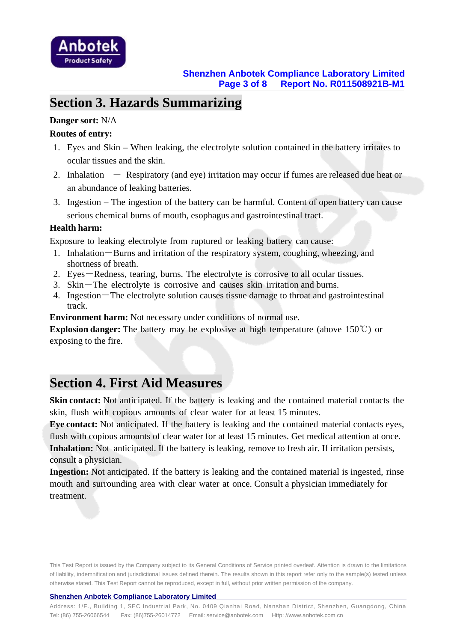

### **Section 3. Hazards Summarizing**

### **Danger sort:** N/A

### **Routes of entry:**

- 1. Eyes and Skin When leaking, the electrolyte solution contained in the battery irritates to ocular tissues and the skin.
- 2. Inhalation  $-$  Respiratory (and eye) irritation may occur if fumes are released due heat or an abundance of leaking batteries.
- 3. Ingestion The ingestion of the battery can be harmful. Content of open battery can cause serious chemical burns of mouth, esophagus and gastrointestinal tract.

#### **Health harm:**

Exposure to leaking electrolyte from ruptured or leaking battery can cause:

- 1. Inhalation-Burns and irritation of the respiratory system, coughing, wheezing, and shortness of breath.
- 2. Eyes-Redness, tearing, burns. The electrolyte is corrosive to all ocular tissues.
- 3. Skin-The electrolyte is corrosive and causes skin irritation and burns.
- 4. Ingestion-The electrolyte solution causes tissue damage to throat and gastrointestinal track.

**Environment harm:** Not necessary under conditions of normal use.

**Explosion danger:** The battery may be explosive at high temperature (above 150℃) or exposing to the fire.

### **Section 4. First Aid Measures**

**Skin contact:** Not anticipated. If the battery is leaking and the contained material contacts the skin, flush with copious amounts of clear water for at least 15 minutes.

**Eye contact:** Not anticipated. If the battery is leaking and the contained material contacts eyes, flush with copious amounts of clear water for at least 15 minutes. Get medical attention at once. **Inhalation:** Not anticipated. If the battery is leaking, remove to fresh air. If irritation persists, consult a physician.

**Ingestion:** Not anticipated. If the battery is leaking and the contained material is ingested, rinse mouth and surrounding area with clear water at once. Consult a physician immediately for treatment.

This Test Report is issued by the Company subject to its General Conditions of Service printed overleaf. Attention is drawn to the limitations of liability, indemnification and jurisdictional issues defined therein. The results shown in this report refer only to the sample(s) tested unless otherwise stated. This Test Report cannot be reproduced, except in full, without prior written permission of the company.

#### **Shenzhen Anbotek Compliance Laboratory Limited**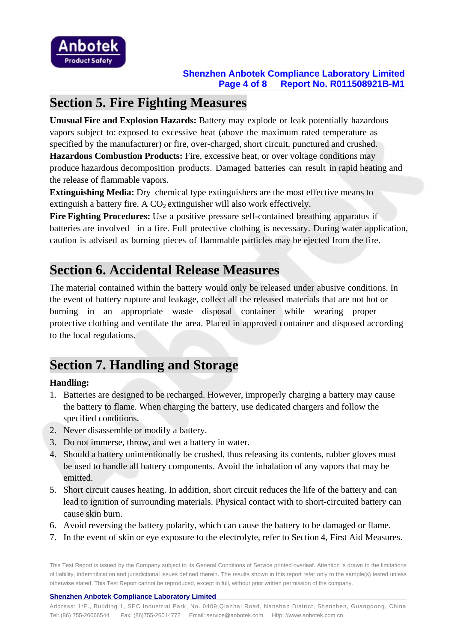

### **Section 5. Fire Fighting Measures**

**Unusual Fire and Explosion Hazards:** Battery may explode or leak potentially hazardous vapors subject to: exposed to excessive heat (above the maximum rated temperature as specified by the manufacturer) or fire, over-charged, short circuit, punctured and crushed.

**Hazardous Combustion Products:** Fire, excessive heat, or over voltage conditions may produce hazardous decomposition products. Damaged batteries can result in rapid heating and the release of flammable vapors.

**Extinguishing Media:** Dry chemical type extinguishers are the most effective means to extinguish a battery fire. A  $CO<sub>2</sub>$  extinguisher will also work effectively.

**Fire Fighting Procedures:** Use a positive pressure self-contained breathing apparatus if batteries are involved in a fire. Full protective clothing is necessary. During water application, caution is advised as burning pieces of flammable particles may be ejected from the fire.

### **Section 6. Accidental Release Measures**

The material contained within the battery would only be released under abusive conditions. In the event of battery rupture and leakage, collect all the released materials that are not hot or burning in an appropriate waste disposal container while wearing proper protective clothing and ventilate the area. Placed in approved container and disposed according to the local regulations.

# **Section 7. Handling and Storage**

### **Handling:**

- 1. Batteries are designed to be recharged. However, improperly charging a battery may cause the battery to flame. When charging the battery, use dedicated chargers and follow the specified conditions.
- 2. Never disassemble or modify a battery.
- 3. Do not immerse, throw, and wet a battery in water.
- 4. Should a battery unintentionally be crushed, thus releasing its contents, rubber gloves must be used to handle all battery components. Avoid the inhalation of any vapors that may be emitted.
- 5. Short circuit causes heating. In addition, short circuit reduces the life of the battery and can lead to ignition of surrounding materials. Physical contact with to short-circuited battery can cause skin burn.
- 6. Avoid reversing the battery polarity, which can cause the battery to be damaged or flame.
- 7. In the event of skin or eye exposure to the electrolyte, refer to Section 4, First Aid Measures.

This Test Report is issued by the Company subject to its General Conditions of Service printed overleaf. Attention is drawn to the limitations of liability, indemnification and jurisdictional issues defined therein. The results shown in this report refer only to the sample(s) tested unless otherwise stated. This Test Report cannot be reproduced, except in full, without prior written permission of the company.

#### **Shenzhen Anbotek Compliance Laboratory Limited**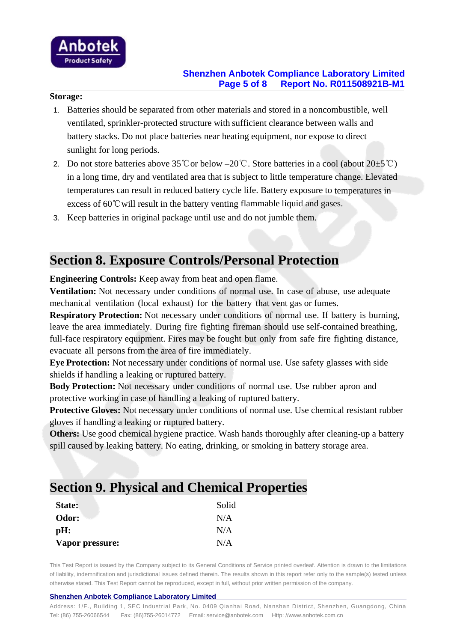

### **Shenzhen Anbotek Compliance Laboratory Limited Page 5 of 8 Report No. R011508921B-M1**

#### **Storage:**

- 1. Batteries should be separated from other materials and stored in a noncombustible, well ventilated, sprinkler-protected structure with sufficient clearance between walls and battery stacks. Do not place batteries near heating equipment, nor expose to direct sunlight for long periods.
- 2. Do not store batteries above 35℃or below –20℃. Store batteries in a cool (about 20±5℃) in a long time, dry and ventilated area that is subject to little temperature change. Elevated temperatures can result in reduced battery cycle life. Battery exposure to temperatures in excess of 60℃will result in the battery venting flammable liquid and gases.
- 3. Keep batteries in original package until use and do not jumble them.

### **Section 8. Exposure Controls/Personal Protection**

**Engineering Controls:** Keep away from heat and open flame.

**Ventilation:** Not necessary under conditions of normal use. In case of abuse, use adequate mechanical ventilation (local exhaust) for the battery that vent gas or fumes.

**Respiratory Protection:** Not necessary under conditions of normal use. If battery is burning, leave the area immediately. During fire fighting fireman should use self-contained breathing, full-face respiratory equipment. Fires may be fought but only from safe fire fighting distance, evacuate all persons from the area of fire immediately.

**Eye Protection:** Not necessary under conditions of normal use. Use safety glasses with side shields if handling a leaking or ruptured battery.

**Body Protection:** Not necessary under conditions of normal use. Use rubber apron and protective working in case of handling a leaking of ruptured battery.

**Protective Gloves:** Not necessary under conditions of normal use. Use chemical resistant rubber gloves if handling a leaking or ruptured battery.

**Others:** Use good chemical hygiene practice. Wash hands thoroughly after cleaning-up a battery spill caused by leaking battery. No eating, drinking, or smoking in battery storage area.

# **Section 9. Physical and Chemical Properties**

| State:          | Solid |
|-----------------|-------|
| Odor:           | N/A   |
| $pH$ :          | N/A   |
| Vapor pressure: | N/A   |

This Test Report is issued by the Company subject to its General Conditions of Service printed overleaf. Attention is drawn to the limitations of liability, indemnification and jurisdictional issues defined therein. The results shown in this report refer only to the sample(s) tested unless otherwise stated. This Test Report cannot be reproduced, except in full, without prior written permission of the company.

#### **Shenzhen Anbotek Compliance Laboratory Limited**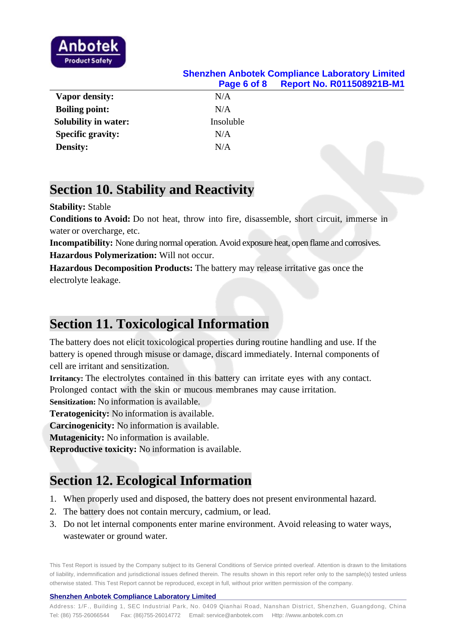

### **Shenzhen Anbotek Compliance Laboratory Limited Page 6 of 8 Report No. R011508921B-M1 Vapor density:** N/A **Boiling point:** N/A **Solubility in water:** Insoluble Specific gravity: N/A **Density:** N/A

### **Section 10. Stability and Reactivity**

#### **Stability:** Stable

**Conditions to Avoid:** Do not heat, throw into fire, disassemble, short circuit, immerse in water or overcharge, etc.

**Incompatibility:** None during normal operation. Avoid exposure heat, open flame and corrosives. **Hazardous Polymerization:** Will not occur.

**Hazardous Decomposition Products:** The battery may release irritative gas once the electrolyte leakage.

### **Section 11. Toxicological Information**

The battery does not elicit toxicological properties during routine handling and use. If the battery is opened through misuse or damage, discard immediately. Internal components of cell are irritant and sensitization.

**Irritancy:** The electrolytes contained in this battery can irritate eyes with any contact. Prolonged contact with the skin or mucous membranes may cause irritation.

**Sensitization:** No information is available.

**Teratogenicity:** No information is available.

**Carcinogenicity:** No information is available.

**Mutagenicity:** No information is available.

**Reproductive toxicity:** No information is available.

# **Section 12. Ecological Information**

- 1. When properly used and disposed, the battery does not present environmental hazard.
- 2. The battery does not contain mercury, cadmium, or lead.
- 3. Do not let internal components enter marine environment. Avoid releasing to water ways, wastewater or ground water.

This Test Report is issued by the Company subject to its General Conditions of Service printed overleaf. Attention is drawn to the limitations of liability, indemnification and jurisdictional issues defined therein. The results shown in this report refer only to the sample(s) tested unless otherwise stated. This Test Report cannot be reproduced, except in full, without prior written permission of the company.

#### **Shenzhen Anbotek Compliance Laboratory Limited**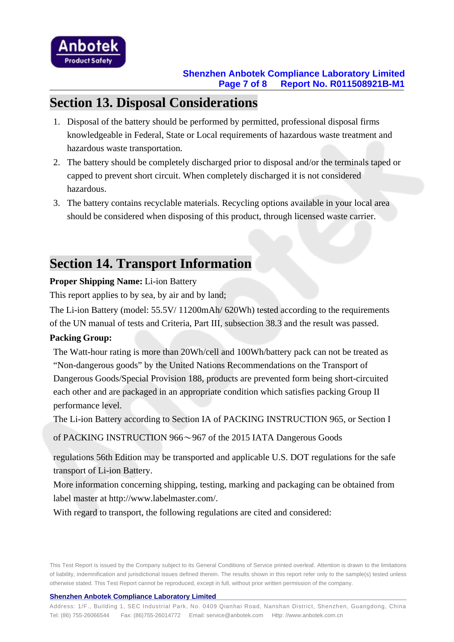

### **Section 13. Disposal Considerations**

- 1. Disposal of the battery should be performed by permitted, professional disposal firms knowledgeable in Federal, State or Local requirements of hazardous waste treatment and hazardous waste transportation.
- 2. The battery should be completely discharged prior to disposal and/or the terminals taped or capped to prevent short circuit. When completely discharged it is not considered hazardous.
- 3. The battery contains recyclable materials. Recycling options available in your local area should be considered when disposing of this product, through licensed waste carrier.

# **Section 14. Transport Information**

### **Proper Shipping Name:** Li-ion Battery

This report applies to by sea, by air and by land;

The Li-ion Battery (model: 55.5V/ 11200mAh/ 620Wh) tested according to the requirements of the UN manual of tests and Criteria, Part III, subsection 38.3 and the result was passed.

### **Packing Group:**

The Watt-hour rating is more than 20Wh/cell and 100Wh/battery pack can not be treated as "Non-dangerous goods" by the United Nations Recommendations on the Transport of Dangerous Goods/Special Provision 188, products are prevented form being short-circuited each other and are packaged in an appropriate condition which satisfies packing Group II performance level.

The Li-ion Battery according to Section IA of PACKING INSTRUCTION 965, or Section I

of PACKING INSTRUCTION 966~967 of the 2015 IATA Dangerous Goods

regulations 56th Edition may be transported and applicable U.S. DOT regulations for the safe transport of Li-ion Battery.

More information concerning shipping, testing, marking and packaging can be obtained from label master at http://www.labelmaster.com/.

With regard to transport, the following regulations are cited and considered:

This Test Report is issued by the Company subject to its General Conditions of Service printed overleaf. Attention is drawn to the limitations of liability, indemnification and jurisdictional issues defined therein. The results shown in this report refer only to the sample(s) tested unless otherwise stated. This Test Report cannot be reproduced, except in full, without prior written permission of the company.

#### **Shenzhen Anbotek Compliance Laboratory Limited**